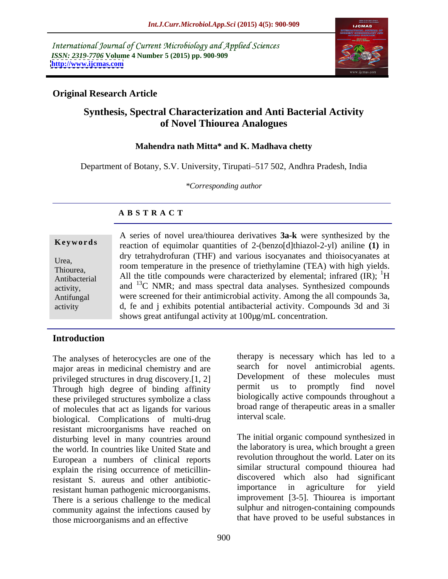International Journal of Current Microbiology and Applied Sciences *ISSN: 2319-7706* **Volume 4 Number 5 (2015) pp. 900-909 <http://www.ijcmas.com>**



### **Original Research Article**

### **Synthesis, Spectral Characterization and Anti Bacterial Activity of Novel Thiourea Analogues**

#### **Mahendra nath Mitta\* and K. Madhava chetty**

Department of Botany, S.V. University, Tirupati-517 502, Andhra Pradesh, India

*\*Corresponding author*

### **A B S T R A C T**

A series of novel urea/thiourea derivatives **3a-k** were synthesized by the **Keywords** reaction of equimolar quantities of 2-(benzo[d]thiazol-2-yl) aniline (1) in dry tetrahydrofuran (THF) and various isocyanates and thioisocyanates at Urea, and the presence of triethylamine (TEA) with high yields. Thiourea,<br>Antibacterial and the title compounds were characterized by elemental; infrared  $(\text{IR})$ ;  $^{1}$ H  $\rm ^1H$ and  $^{13}$ C NMR; and mass spectral data analyses. Synthesized compounds Antifungal were screened for their antimicrobial activity. Among the all compounds 3a, d, fe and j exhibits potential antibacterial activity. Compounds 3d and 3i shows great antifungal activity at 100µg/mL concentration. Antibacterial activity

### **Introduction**

The analyses of heterocycles are one of the major areas in medicinal chemistry and are privileged structures in drug discovery.[1, 2] Development of these molecules must<br>Through high degree of hinding affinity permit us to promptly find novel Through high degree of binding affinity these privileged structures symbolize a class of molecules that act as ligands for various broad range of hypothesis interval scale. biological. Complications of multi-drug resistant microorganisms have reached on disturbing level in many countries around the world. In countries like United State and European a numbers of clinical reports explain the rising occurrence of meticillinresistant S. aureus and other antibiotic-<br>resistant human pathogenic microorganisms importance in agriculture for yield resistant human pathogenic microorganisms. There is a serious challenge to the medical community against the infections caused by those microorganisms and an effective

therapy is necessary which has led to a search for novel antimicrobial agents. Development of these molecules must permit us to promptly find novel biologically active compounds throughout a broad range of therapeutic areas in a smaller interval scale.

The initial organic compound synthesized in the laboratory is urea, which brought a green revolution throughout the world. Later on its similar structural compound thiourea had discovered which also had significant importance in agriculture for yield improvement [3-5]. Thiourea is important sulphur and nitrogen-containing compounds that have proved to be useful substances in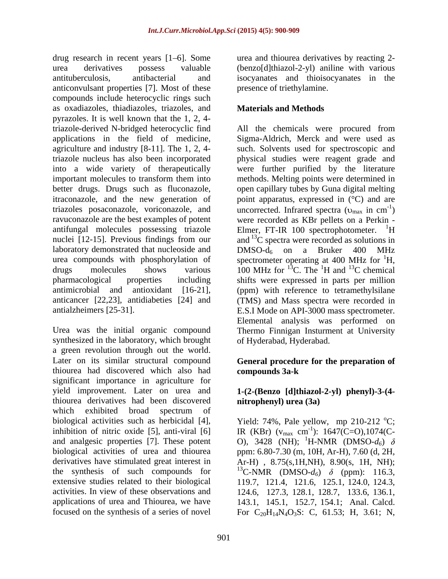drug research in recent years [1 6]. Some urea and thiourea derivatives by reacting 2 urea derivatives possess valuable (benzo[d]thiazol-2-yl) aniline with various antituberculosis, antibacterial and isocyanates and thioisocyanates in the anticonvulsant properties [7]. Most of these compounds include heterocyclic rings such as oxadiazoles, thiadiazoles, triazoles, and pyrazoles. It is well known that the 1, 2, 4 triazole-derived N-bridged heterocyclic find All the chemicals were procured from applications in the field of medicine, agriculture and industry [8-11]. The 1, 2, 4- such. Solvents used for spectroscopic and triazole nucleus has also been incorporated physical studies were reagent grade and into a wide variety of therapeutically were further purified by the literature important molecules to transform them into methods. Melting points were determined in better drugs. Drugs such as fluconazole, open capillary tubes by Guna digital melting itraconazole, and the new generation of point apparatus, expressed in (°C) and are triazoles posaconazole, voriconazole, and uncorrected. Infrared spectra  $(v_{max}$  in cm<sup>-1</sup>) ravuconazole are the best examples of potent were recorded as KBr pellets on a Perkin antifungal molecules possessing triazole Elmer, FT-IR 100 spectrophotometer. <sup>1</sup>H nuclei [12-15]. Previous findings from our and  $^{13}$ C spectra were recorded as solutions in laboratory demonstrated that nucleoside and  $DMSO-d<sub>6</sub>$  on a Bruker 400 MHz urea compounds with phosphorylation of spectrometer operating at 400 MHz for  ${}^{1}H$ , drugs molecules shows various  $100 \text{ MHz}$  for  $^{13}$ C. The <sup>1</sup>H and <sup>13</sup>C chemical pharmacological properties including shifts were expressed in parts per million antimicrobial and antioxidant [16-21], (ppm) with reference to tetramethylsilane anticancer [22,23], antidiabeties [24] and (TMS) and Mass spectra were recorded in antialzheimers [25-31]. E.S.I Mode on API-3000 mass spectrometer.

Urea was the initial organic compound Thermo Finnigan Insturment at University synthesized in the laboratory, which brought a green revolution through out the world. Later on its similar structural compound **General procedure for the preparation of** thiourea had discovered which also had compounds 3a-k significant importance in agriculture for yield improvement. Later on urea and **1-(2-(Benzo [d]thiazol-2-yl) phenyl)-3-(4** thiourea derivatives had been discovered which exhibited broad spectrum of biological activities such as herbicidal [4],  $\qquad$  Yield: 74%, Pale yellow, mp 210-212 °C; inhibition of nitric oxide [5], anti-viral [6]  $\qquad \qquad \text{IR (KBr)} \ (v_{\text{max}} \ \text{cm}^{-1})$ : 1647(C=O),1074(Cand analgesic properties [7]. These potent  $\qquad$  O), 3428 (NH); <sup>1</sup>H-NMR (DMSO- $d_6$ )  $\delta$ biological activities of urea and thiourea ppm: 6.80-7.30 (m, 10H, Ar-H), 7.60 (d, 2H, derivatives have stimulated great interest in Ar-H) , 8.75(s,1H,NH), 8.90(s, 1H, NH); the synthesis of such compounds for  $^{13}$ C-NMR (DMSO- $d_6$ )  $\delta$  (ppm): 116.3, extensive studies related to their biological 119.7, 121.4, 121.6, 125.1, 124.0, 124.3, activities. In view of these observations and 124.6, 127.3, 128.1, 128.7, 133.6, 136.1, applications of urea and Thiourea, we have 143.1, 145.1, 152.7, 154.1; Anal. Calcd.

presence of triethylamine.

### **Materials and Methods**

Sigma-Aldrich, Merck and were used as uncorrected. Infrared spectra  $(v_{max} \text{ in } cm^{-1})$  $-1$  $)$ Elmer, FT-IR 100 spectrophotometer.  $DMSO-d_6$  on a Bruker 400 MHz  ${}^{1}H,$ <sup>1</sup>H and <sup>13</sup>C chemical  $^{13}$ C chemical Elemental analysis was performed on of Hyderabad, Hyderabad.

## **compounds 3a-k**

# **nitrophenyl) urea (3a)**

focused on the synthesis of a series of novel For  $C_{20}H_{14}N_4O_3S$ : C, 61.53; H, 3.61; N,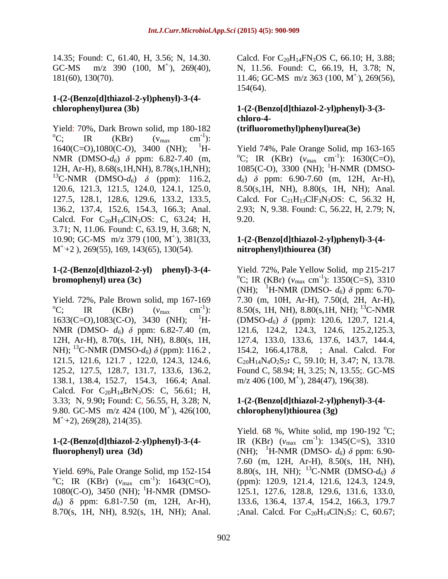14.35; Found: C, 61.40, H, 3.56; N, 14.30. Calcd. For C<sub>20</sub>H<sub>14</sub>FN<sub>3</sub>OS C, 66.10; H, 3.88; 181(60), 130(70). 11.46; GC-MS m/z 363 (100, M<sup>+</sup>), 269(56),

#### **1-(2-(Benzo[d]thiazol-2-yl)phenyl)-3-(4 chlorophenyl)urea (3b) 1-(2-(Benzo[d]thiazol-2-yl)phenyl)-3-(3-**

Yield: 70%, Dark Brown solid, mp 180-182 (**trifluoromethyl)phenyl)urea**(3e)<br>
<sup>o</sup>C; IR (KBr) ( $v_{\text{max}}$  cm<sup>-1</sup>):  $-1$ . ): 1640(C=O), 1080(C-O), 3400 (NH); <sup>1</sup>H- Yield 74%, Pale Orange Solid, mp 163-165 NMR (DMSO- $d_6$ )  $\delta$  ppm: 6.82-7.40 (m, <sup>o</sup>C; IR (KBr) ( $v_{\text{max}}$  cm<sup>-1</sup>): 1630(C=O), 12H, Ar-H), 8.68(s,1H,NH), 8.78(s,1H,NH); 1085(C-O), 3300 (NH); <sup>1</sup>H-NMR (DMSO-<sup>13</sup>C-NMR (DMSO- $d_6$ )  $\delta$  (ppm): 116.2,  $d_6$ )  $\delta$  ppm: 6.90-7.60 (m, 12H, Ar-H), 120.6, 121.3, 121.5, 124.0, 124.1, 125.0, 8.50(s,1H, NH), 8.80(s, 1H, NH); Anal. 127.5, 128.1, 128.6, 129.6, 133.2, 133.5, 136.2, 137.4, 152.6, 154.3, 166.3; Anal. 2.93; N, 9.38. Found: C, 56.22, H, 2.79; N, Calcd. For  $C_{20}H_{14}CN_3OS$ : C, 63.24; H, 9.20. 3.71; N, 11.06. Found: C, 63.19, H, 3.68; N, 10.90; GC-MS m/z 379 (100, M<sup>+</sup>), 381(33, **1-(2-(Benzo[d]thiazol-2-yl)phenyl)-3-(4-** $M^+$ +2), 269(55), 169, 143(65), 130(54). **Initrophenyl)thiourea (3f)**  $M^+$ +2 ), 269(55), 169, 143(65), 130(54).

## **1-(2-(Benzo[d]thiazol-2-yl) phenyl)-3-(4-**

NMR (DMSO-  $d_6$ )  $\delta$  ppm: 6.82-7.40 (m, 125.2, 127.5, 128.7, 131.7, 133.6, 136.2, 138.1, 138.4, 152.7, 154.3, 166.4; Anal. Calcd. For  $C_{20}H_{14}BrN_3OS$ : C, 56.61; H, 3.33; N, 9.90**;** Found: C, 56.55, H, 3.28; N, 9.80. GC-MS  $\rm m/z$  424 (100, M<sup>+</sup>), 426(100, **chlorophenyl)thiourea (3g)**  $M^+$ +2), 269(28), 214(35).  $M^+$ +2), 269(28), 214(35). 14.8.8.7 Find, Calcular, Calcular, Calcular, Calcular, Calcular, Calcular, Calcular, Calcular, Calcular, Calcular, Calcular, Calcular, Calcular, Calcular, Calcular, Calcular, Calcular, Calcular, Calcular, Calcular, Calcu

 $1080(C-O)$ , 3450 (NH); <sup>1</sup>H-NMR (DMSO-

GC-MS  $m/z$  390 (100, M<sup>+</sup>), 269(40), N, 11.56. Found: C, 66.19, H, 3.78; N, 11.46; GC-MS m/z 363 (100, M<sup>+</sup>), 269(56),  $^{+}$ ), 269(56), 154(64).

## **chloro-4- (trifluoromethyl)phenyl)urea(3e)**

Yield 74%, Pale Orange Solid, mp 163-165<br>
<sup>o</sup>C; IR (KBr) ( $v_{\text{max}}$  cm<sup>-1</sup>): 1630(C=O),  $^{-1}$ ). 1630(C-O) Calcd. For  $C_{21}H_{13}CIF_3N_3OS$ : C, 56.32 H, 9.20.

#### +.), 381(33, **1-(2-(Benzo[d]thiazol-2-yl)phenyl)-3-(4 nitrophenyl)thiourea (3f)**

**bromophenyl) urea (3c)**  ${}^{o}C$ ; IR (KBr) ( $v_{\text{max}}$  cm<sup>-1</sup>): 1350(C=S), 3310 Yield. 72%, Pale Brown solid, mp 167-169 <br>
<sup>9</sup>C; IR (KBr) ( $v_{\text{max}}$  cm<sup>-1</sup>): 8.50(s, 1H, NH), 8.80(s, 1H, NH); <sup>13</sup>C-NMR  $(3.50)(s, 1H, NH)$ , 8.80(s, 1H, NH); <sup>13</sup>C-NMR 1633(C=O),1083(C-O), 3430 (NH); <sup>1</sup>H- (DMSO- $d_6$ )  $\delta$  (ppm): 120.6, 120.7, 121.4, 12H, Ar-H), 8.70(s, 1H, NH), 8.80(s, 1H, 127.4, 133.0, 133.6, 137.6, 143.7, 144.4, NH); <sup>13</sup>C-NMR (DMSO- $d_6$ )  $\delta$  (ppm): 116.2, 154.2, 166.4,178.8, ; Anal. Calcd. For 121.5, 121.6, 121.7 , 122.0, 124.3, 124.6, C20H14N4O2S2**:** C, 59.10; H, 3.47; N, 13.78. Yield. 72%, Pale Yellow Solid, mp 215-217<br>
<sup>o</sup>C; IR (KBr) ( $v_{\text{max}}$  cm<sup>-1</sup>): 1350(C=S), 3310 ): 1350(C=S), 3310 (NH); <sup>1</sup>H-NMR (DMSO-  $d_6$ )  $\delta$  ppm: 6.70-7.30 (m, 10H, Ar-H), 7.50(d, 2H, Ar-H),  $^{13}$ C-NMR 121.6, 124.2, 124.3, 124.6, 125.2,125.3, Found C, 58.94; H, 3.25; N, 13.55;. GC-MS  $m/z$  406 (100, M<sup>+</sup>), 284(47), 196(38).  $m/z$  406 (100, M<sup>+</sup>), 284(47), 196(38).

#### +.), 426(100, **chlorophenyl)thiourea (3g) 1-(2-(Benzo[d]thiazol-2-yl)phenyl)-3-(4-**

**1-(2-(Benzo[d]thiazol-2-yl)phenyl)-3-(4-** IR (KBr) ( $v_{\text{max}}$  cm<sup>-1</sup>): 1345(C=S), 3310 **fluorophenyl) urea (3d)** (NH); <sup>1</sup>H-NMR (DMSO-  $d_6$ )  $\delta$  ppm: 6.90-Yield. 69%, Pale Orange Solid, mp 152-154 8.80(s, 1H, NH); <sup>13</sup>C-NMR (DMSO- $d_6$ )  $\delta$ <br>
<sup>o</sup>C; IR (KBr) ( $v_{\text{max}}$  cm<sup>-1</sup>): 1643(C=O), (ppm): 120.9, 121.4, 121.6, 124.3, 124.9, -1 ): 1643(C=O), (ppm): 120.9, 121.4, 121.6, 124.3, 124.9, *d6*) ppm: 6.81-7.50 (m, 12H, Ar-H), 133.6, 136.4, 137.4, 154.2, 166.3, 179.7 Yield. 68 %, White solid, mp 190-192  $^{\circ}$ C; ): 1345(C=S), 3310 7.60 (m, 12H, Ar-H), 8.50(s, 1H, NH), 8.80(s, 1H, NH); <sup>13</sup>C-NMR (DMSO- $d_6$ )  $\delta$ 125.1, 127.6, 128.8, 129.6, 131.6, 133.0, ;Anal. Calcd. For  $C_{20}H_{14}CIN_3S_2$ : C, 60.67;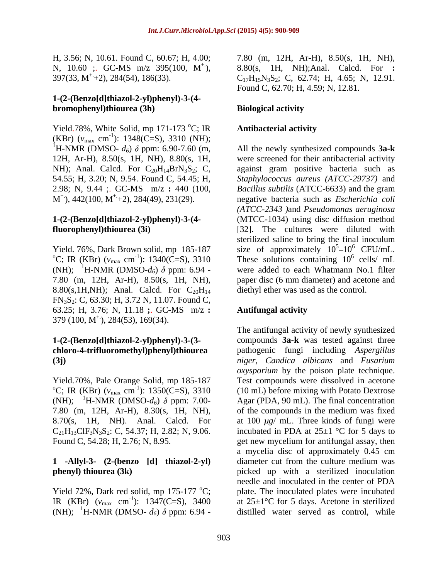#### **1-(2-(Benzo[d]thiazol-2-yl)phenyl)-3-(4 bromophenyl)thiourea (3h)**

Yield.78%, White Solid, mp 171-173  $^{\circ}$ C; IR **Antibacterial activity** (KBr)  $(v_{\text{max}} \text{ cm}^{-1})$ : 1348(C=S), 3310 (NH); <sup>1</sup>H-NMR (DMSO-  $d_6$ )  $\delta$  ppm: 6.90-7.60 (m,

(NH); <sup>1</sup>H-NMR (DMSO- $d_6$ )  $\delta$  ppm: 6.94 -7.80 (m, 12H, Ar-H), 8.50(s, 1H, NH), 8.80(s,1H,NH); Anal. Calcd. For  $C_{20}H_{14}$ FN3S2: C, 63.30; H, 3.72 N, 11.07. Found C, 63.25; H, 3.76; N, 11.18 **;**. GC-MS m/z **:**   $379 (100, M<sup>+</sup>), 284(53), 169(34).$  $379$  (100, M<sup>+</sup>), 284(53), 169(34).

(NH); <sup>1</sup>H-NMR (DMSO- $d_6$ )  $\delta$  ppm: 7.00- $C_{21}H_{13}CIF_3N_3S_2$ : C, 54.37; H, 2.82; N, 9.06.

## **1 -Allyl-3- (2-(benzo [d] thiazol-2-yl)**

Yield 72%, Dark red solid, mp 175-177  $\mathrm{^{\circ}C}$ ; IR (KBr)  $(v_{\text{max}} \text{ cm}^{-1})$ : 1347(C=S), 3400 (NH); <sup>1</sup>H-NMR (DMSO-  $d_6$ )  $\delta$  ppm: 6.94 -

H, 3.56; N, 10.61. Found C, 60.67; H, 4.00; 7.80 (m, 12H, Ar-H), 8.50(s, 1H, NH), N, 10.60 ;. GC-MS m/z 395(100, M<sup>+</sup>), 8.80(s, 1H, NH);Anal. Calcd. For : +.), 8.80(s, 1H, NH);Anal. Calcd. For **:**   $397(33, M^+ + 2), 284(54), 186(33).$   $C_{17}H_{15}N_3S_2$ ; C, 62.74; H, 4.65; N, 12.91. Found C, 62.70; H, 4.59; N, 12.81.

### **Biological activity**

#### **Antibacterial activity**

12H, Ar-H), 8.50(s, 1H, NH), 8.80(s, 1H, were screened for their antibacterial activity NH); Anal. Calcd. For  $C_{20}H_{14}BrN_3S_2$ ; C, against gram positive bacteria such as 54.55; H, 3.20; N, 9.54. Found C, 54.45; H, *Staphylococcus aureus (ATCC-29737)* and 2.98; N, 9.44 ;. GC-MS m/z **:** 440 (100, *Bacillus subtilis* (ATCC-6633) and the gram  $M^+$ ), 442(100,  $M^+$ +2), 284(49), 231(29). negative bacteria such as *Escherichia coli*  $^{+}$ ), 442(100, M<sup>+</sup>+2), 284(49), 231(29). negative bacteria such as *Escherichia coli* +.+2), 284(49), 231(29). negative bacteria such as *Escherichia coli* **1-(2-(Benzo[d]thiazol-2-yl)phenyl)-3-(4-** (MTCC-1034) using disc diffusion method **fluorophenyl)thiourea (3i)** [32]. The cultures were diluted with Yield. 76%, Dark Brown solid, mp 185-187 size of approximately  $10^5$ – $10^6$  CFU/mL.<br>
<sup>o</sup>C; IR (KBr) ( $v_{\text{max}}$  cm<sup>-1</sup>): 1340(C=S), 3310 These solutions containing  $10^6$  cells/ mL <sup>-1</sup>): 1340( $\overline{C}$ =S), 3310 These solutions containing 10<sup>6</sup> cells/ mL All the newly synthesized compounds **3a-k**  *(ATCC-2343 )*and *Pseudomonas aeruginosa* sterilized saline to bring the final inoculum size of approximately  $10^5$ – $10^6$  CFU/mL.  $5 \t10^6$  CELL $mI$  $10^6$  CFU/mL.  $^6$  colle  $^6$  mI cells/ mL were added to each Whatmann No.1 filter paper disc (6 mm diameter) and acetone and diethyl ether was used as the control.

#### **Antifungal activity**

**1-(2-(Benzo[d]thiazol-2-yl)phenyl)-3-(3-** compounds **3a-k** was tested against three **chloro-4-trifluoromethyl)phenyl)thiourea**  pathogenic fungi including *Aspergillus*  **(3j)** *niger, Candica albicans* and *Fusarium*  Yield.70%, Pale Orange Solid, mp 185-187 Test compounds were dissolved in acetone  ${}^{\circ}C$ ; IR (KBr) ( $v_{\text{max}}$  cm<sup>-1</sup>): 1350(C=S), 3310 (10 mL) before mixing with Potato Dextrose  $(-1)$ : 1350( $\overline{C}$ =S), 3310 (10 mL) before mixing with Potato Dextrose 7.80 (m, 12H, Ar-H), 8.30(s, 1H, NH), of the compounds in the medium was fixed 8.70 $(s, 1H, NH)$ . Anal. Calcd. For at 100  $\mu$ g/ mL. Three kinds of fungi were Found C, 54.28; H, 2.76; N, 8.95. get new mycelium for antifungal assay, then **phenyl) thiourea (3k)** picked up with a sterilized inoculation <sup>-1</sup>): 1347(C=S), 3400 at 25 $\pm$ 1°C for 5 days. Acetone in sterilized The antifungal activity of newly synthesized *oxysporium* by the poison plate technique. Test compounds were dissolved in acetone Agar (PDA, 90 mL). The final concentration incubated in PDA at  $25\pm1$  °C for 5 days to a mycelia disc of approximately 0.45 cm diameter cut from the culture medium was needle and inoculated in the center of PDA plate. The inoculated plates were incubated distilled water served as control, while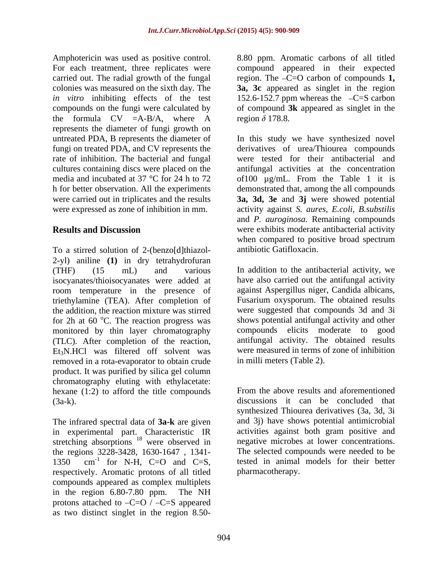the formula CV =A-B/A, where A represents the diameter of fungi growth on fungi on treated PDA, and CV represents the rate of inhibition. The bacterial and fungal

To a stirred solution of 2-(benzo[d]thiazol- 2-yl) aniline **(1)** in dry tetrahydrofuran (THF) (15 mL) and various In addition to the antibacterial activity, we isocyanates/thioisocyanates were added at room temperature in the presence of triethylamine (TEA). After completion of the addition, the reaction mixture was stirred were suggested that compounds 3d and 3i for 2h at 60 $\degree$ C. The reaction progress was monitored by thin layer chromatography (TLC). After completion of the reaction, antifungal activity. The obtained results Et3N.HCl was filtered off solvent was were measured in terms of zone of inhibition removed in a rota-evaporator to obtain crude product. It was purified by silica gel column chromatography eluting with ethylacetate: hexane (1:2) to afford the title compounds (3a-k). discussions it can be concluded that

The infrared spectral data of **3a-k** are given in experimental part. Characteristic IR stretching absorptions <sup>18</sup> were observed in the regions 3228-3428, 1630-1647, 1341-<br>1350 cm<sup>-1</sup> for N-H, C=O and C=S, respectively. Aromatic protons of all titled compounds appeared as complex multiplets in the region 6.80-7.80 ppm. The NH protons attached to  $-C=O / -C=S$  appeared as two distinct singlet in the region 8.50-

Amphotericin was used as positive control. 8.80 ppm. Aromatic carbons of all titled For each treatment, three replicates were compound appeared in their expected carried out. The radial growth of the fungal region. The C=O carbon of compounds **1,**  colonies was measured on the sixth day. The **3a, 3c**appeared as singlet in the region *in vitro* inhibiting effects of the test  $152.6 - 152.7$  ppm whereas the  $-C=S$  carbon compounds on the fungi were calculated by of compound **3k** appeared as singlet inthe region  $\delta$  178.8.

untreated PDA, B represents the diameter of In this study we have synthesized novel cultures containing discs were placed on the antifungal activities at the concentration media and incubated at 37 °C for 24 h to 72 of 100 µg/mL. From the Table 1 it is h for better observation. All the experiments demonstrated that, among the all compounds were carried out in triplicates and the results **3a, 3d, 3e** and **3j** were showed potential were expressed as zone of inhibition in mm. activity against *S. aures, E.coli, B.substilis* **Results and Discussion were exhibits moderate antibacterial activity** derivatives of urea/Thiourea compounds were tested for their antibacterial and and *P. auroginosa.* Remaining compounds when compared to positive broad spectrum antibiotic Gatifloxacin.

<sup>o</sup>C. The reaction progress was shows potential antifungal activity and other have also carried out the antifungal activity against Aspergillus niger, Candida albicans, Fusarium oxysporum. The obtained results compounds elicits moderate to good in milli meters (Table 2).

were observed in negative microbes at lower concentrations. 1350 cm<sup>-1</sup> for N-H, C=O and C=S, tested in animal models for their better <sup>-1</sup> for N-H, C=O and C=S, tested in animal models for their better for N-H, C=O and C=S, tested in animal models for their better From the above results and aforementioned synthesized Thiourea derivatives (3a, 3d, 3i and 3j) have shows potential antimicrobial activities against both gram positive and The selected compounds were needed to be pharmacotherapy.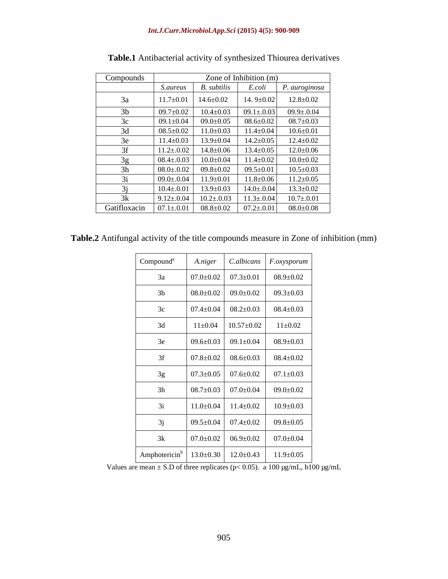| Compounds      |                  |                   | Zone of Inhibition (m) |                 |
|----------------|------------------|-------------------|------------------------|-----------------|
|                | <i>S.aureus</i>  | B. subtilis       | E.coli                 | P. auroginosa   |
| 3a             | $11.7 \pm 0.01$  | $14.6 \pm 0.02$   | 14. $9 \pm 0.02$       | $12.8 \pm 0.02$ |
| 3 <sub>b</sub> | $09.7 \pm 0.02$  | $10.4 \pm 0.03$   | $09.1 \pm 0.03$        | $09.9 \pm 0.04$ |
| $2\alpha$      | $09.1 \pm 0.04$  | $09.0 \pm 0.05$   | $08.6 {\pm} 0.02$      | $08.7 \pm 0.03$ |
| 3d             | $08.5 \pm 0.02$  | $11.0 \pm 0.03$   | $11.4 \pm 0.04$        | $10.6 \pm 0.01$ |
| 3e             | $11.4 \pm 0.03$  | $13.9 \pm 0.04$   | $14.2 \pm 0.05$        | $12.4 \pm 0.02$ |
| 3f             | $11.2 \pm .0.02$ | $14.8 \pm 0.06$   | $13.4 \pm 0.05$        | $12.0 \pm 0.06$ |
| 3g             | $08.4 \pm 0.03$  | $10.0 \pm 0.04$   | $11.4 \pm 0.02$        | $10.0 \pm 0.02$ |
| 3h             | $08.0 \pm 0.02$  | $09.8 \pm 0.02$   | $09.5 \pm 0.01$        | $10.5 \pm 0.03$ |
| $\prec$ 1      | $09.0 \pm 0.04$  | $11.9 \pm 0.01$   | $11.8 \pm 0.06$        | $11.2 \pm 0.05$ |
|                | $10.4 \pm 0.01$  | $13.9 \pm 0.03$   | $14.0 \pm 0.04$        | $13.3 \pm 0.02$ |
| 3k             | $9.12 \pm 0.04$  | $10.2 \pm 0.03$   | $11.3 \pm 0.04$        | $10.7 \pm 0.01$ |
| Gatifloxacin   | $07.1{\pm}.0.01$ | $08.8 {\pm} 0.02$ | $07.2 \pm 0.01$        | $08.0{\pm}0.08$ |

**Table.1** Antibacterial activity of synthesized Thiourea derivatives

| Table.2 Antifungal | .<br>? Antifungal activity of the title compounds measure in Zone of inhibition (mm) |  |  |
|--------------------|--------------------------------------------------------------------------------------|--|--|
|                    |                                                                                      |  |  |

| Compound <sup>a</sup>                                         | A.niger |                                                                                                                        | $\big $ C.albicans $\big $ F.oxysporum                                                                             |
|---------------------------------------------------------------|---------|------------------------------------------------------------------------------------------------------------------------|--------------------------------------------------------------------------------------------------------------------|
| 3a                                                            |         |                                                                                                                        |                                                                                                                    |
| 3 <sub>b</sub>                                                |         | $\begin{array}{ c c c c c c c c c } \hline 08.0 \pm 0.02 & 09.0 \pm 0.02 & 09.3 \pm 0.03 \hline \end{array}$           |                                                                                                                    |
| 3c                                                            |         |                                                                                                                        |                                                                                                                    |
| 3d                                                            |         | $11\pm0.04$   $10.57\pm0.02$   $11\pm0.02$                                                                             |                                                                                                                    |
| 3e                                                            |         | $\begin{array}{ c c c c c c c c c } \hline 09.6 {\pm} 0.03 & 09.1 {\pm} 0.04 & 08.9 {\pm} 0.03 \\ \hline \end{array}$  |                                                                                                                    |
| 3f                                                            |         |                                                                                                                        | $\begin{array}{ c c c c c c c c c } \hline 07.8 {\pm} 0.02 & 08.6 {\pm} 0.03 & 08.4 {\pm} 0.02 \hline \end{array}$ |
| 3g                                                            |         | $\begin{array}{ c c c c c c c c c c c } \hline 07.3 {\pm} 0.05 & 07.6 {\pm} 0.02 & 07.1 {\pm} 0.03 \hline \end{array}$ |                                                                                                                    |
| 3h                                                            |         |                                                                                                                        |                                                                                                                    |
| 3i                                                            |         | $11.0\pm0.04$ 11.4 $\pm0.02$ 10.9 $\pm0.03$                                                                            |                                                                                                                    |
| 3j                                                            |         | $\begin{array}{ c c c c c c c c } \hline 09.5 \pm 0.04 & 07.4 \pm 0.02 & 09.8 \pm 0.05 \hline \end{array}$             |                                                                                                                    |
| 3k                                                            |         |                                                                                                                        |                                                                                                                    |
| Amphotericin <sup>b</sup>   13.0±0.30   12.0±0.43   11.9±0.05 |         |                                                                                                                        |                                                                                                                    |

Values are mean  $\pm$  S.D of three replicates (p< 0.05). a 100  $\mu$ g/mL, b100  $\mu$ g/mL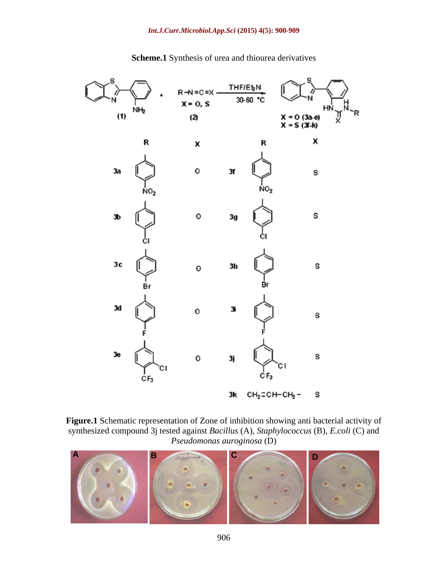#### *Int.J.Curr.Microbiol.App.Sci* **(2015) 4(5): 900-909**



**Scheme.1** Synthesis of urea and thiourea derivatives

**Figure.1** Schematic representation of Zone of inhibition showing anti bacterial activity of synthesized compound 3j tested against *Bacillus* (A), *Staphylococcus* (B), *E.coli* (C) and *Pseudomonas auroginosa* (D)

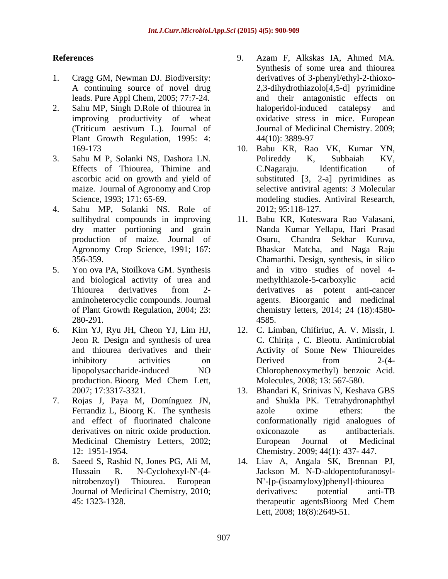- 
- 2. Sahu MP, Singh D.Role of thiourea in haloperidol-induced catalepsy and Plant Growth Regulation, 1995: 4:
- ascorbic acid on growth and yield of maize. Journal of Agronomy and Crop
- 4. Sahu MP, Solanki NS. Role of production of maize. Journal of
- 
- Jeon R. Design and synthesis of urea
- 
- 
- **References** 9. Azam F, Alkskas IA, Ahmed MA. 1. Cragg GM, Newman DJ. Biodiversity: derivatives of 3-phenyl/ethyl-2-thioxo- A continuing source of novel drug 2,3-dihydrothiazolo[4,5-d] pyrimidine leads. Pure Appl Chem, 2005; 77:7-24. and their antagonistic effects on improving productivity of wheat oxidative stress in mice. European (Triticum aestivum L.). Journal of Journal of Medicinal Chemistry.2009; Synthesis of some urea and thiourea haloperidol-induced catalepsy and 44(10): 3889-97
- 169-173 10. Babu KR, Rao VK, Kumar YN, 3. Sahu M P, Solanki NS, Dashora LN. Effects of Thiourea, Thimine and C.Nagaraju. Identification of Science, 1993; 171: 65-69. modeling studies. Antiviral Research, Polireddy K, Subbaiah KV, C.Nagaraju. Identification of substituted [3, 2-a] pyrimidines as selective antiviral agents: 3 Molecular 2012; 95:118-127.
- sulfihydral compounds in improving 11. Babu KR, Koteswara Rao Valasani, dry matter portioning and grain Nanda Kumar Yellapu, Hari Prasad Agronomy Crop Science, 1991; 167: Bhaskar Matcha, and Naga Raju 356-359. Chamarthi. Design, synthesis, in silico 5. Yon ova PA, Stoilkova GM. Synthesis and in vitro studies of novel 4 and biological activity of urea and methylthiazole-5-carboxylic acid Thiourea derivatives from 2 aminoheterocyclic compounds. Journal agents. Bioorganic and medicinal of Plant Growth Regulation, 2004; 23: chemistry letters, 2014; 24 (18):4580- 280-291. Osuru, Chandra Sekhar Kuruva, methylthiazole-5-carboxylic derivatives as potent anti-cancer 4585.
- 6. Kim YJ, Ryu JH, Cheon YJ, Lim HJ, 12. C. Limban, Chifiriuc, A. V. Missir, I. and thiourea derivatives and their Activity of Some New Thioureides inhibitory activities on Derived from 2-(4lipopolysaccharide-induced NO Chlorophenoxymethyl) benzoic Acid. production. Bioorg Med Chem Lett, Molecules, 2008; 13: 567-580. C. Chirita, C. Bleotu. Antimicrobial Derived from 2-(4-Chlorophenoxymethyl) benzoic Acid. Molecules, 2008; 13: 567-580.
- 2007; 17:3317-3321. 13. Bhandari K, Srinivas N, Keshava GBS 7. Rojas J, Paya M, Domínguez JN, and Shukla PK. Tetrahydronaphthyl Ferrandiz L, Bioorg K. The synthesis azole oxime ethers: the and effect of fluorinated chalcone conformationally rigid analogues of derivatives on nitric oxide production.  $\alpha$  oxiconazole as antibacterials. Medicinal Chemistry Letters, 2002; 12: 1951-1954. Chemistry. 2009; 44(1): 437- 447. azole oxime ethers: the oxiconazole as antibacterials. European Journal of Medicinal
- 8. Saeed S, Rashid N, Jones PG, Ali M, 14. Liav A, Angala SK, Brennan PJ, Hussain R. N-Cyclohexyl-N'-(4- Jackson M. N-D-aldopentofuranosyl nitrobenzoyl) Thiourea. European N -[p-(isoamyloxy)phenyl]-thiourea Journal of Medicinal Chemistry, 2010; derivatives: potential anti-TB 45: 1323-1328. derivatives: potential anti-TB therapeutic agentsBioorg Med Chem Lett, 2008; 18(8):2649-51.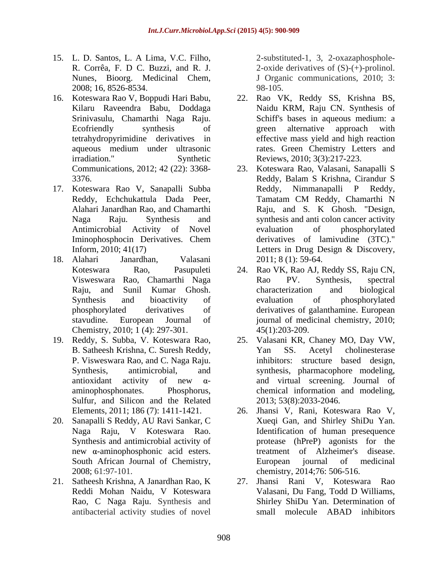- 15. L. D. Santos, L. A Lima, V.C. Filho, 2008; 16, 8526-8534.
- 
- 17. Koteswara Rao V, Sanapalli Subba
- Chemistry, 2010; 1 (4): 297-301.
- P. Visweswara Rao, and C. Naga Raju. Sulfur, and Silicon and the Related
- 20. Sanapalli S Reddy, AU Ravi Sankar, C new  $\alpha$ -aminophosphonic acid esters.
- 21. Satheesh Krishna, A Janardhan Rao, K Rao, C Naga Raju. Synthesis and

R. Corrêa, F. D C. Buzzi, and R. J. 2-oxide derivatives of (S)-(+)-prolinol. Nunes, Bioorg. Medicinal Chem, J Organic communications, 2010; 3: 2-substituted-1, 3, 2-oxazaphosphole- 98-105.

- 16. Koteswara Rao V, Boppudi Hari Babu, 22. Rao VK, Reddy SS, Krishna BS, Kilaru Raveendra Babu, Doddaga Naidu KRM, Raju CN. Synthesis of Srinivasulu, Chamarthi Naga Raju. Schiff's bases in aqueous medium: a Ecofriendly synthesis of green alternative approach with tetrahydropyrimidine derivatives in effective mass yield and high reaction aqueous medium under ultrasonic rates. Green Chemistry Letters and irradiation." Synthetic Reviews, 2010; 3(3):217-223. green alternative approach with
- Communications, 2012; 42 (22): 3368- 23. Koteswara Rao, Valasani, Sanapalli S 3376. Reddy, Balam S Krishna, Cirandur S Reddy, Echchukattula Dada Peer, Tamatam CM Reddy, Chamarthi N Alahari Janardhan Rao, and Chamarthi Raju, and S. K Ghosh. "Design, Naga Raju. Synthesis and synthesis and anti colon cancer activity Antimicrobial Activity of Novel evaluation of phosphorylated Iminophosphocin Derivatives. Chem derivatives of lamivudine (3TC)." Inform, 2010; 41(17) Letters in Drug Design & Discovery, 18. Alahari Janardhan, Valasani 2011; 8 (1): 59-64. Reddy, Balam S Krishna, Cirandur S Reddy, Nimmanapalli P Reddy, Tamatam CM Reddy, Chamarthi N evaluation of phosphorylated derivatives of lamivudine (3TC)." Letters in Drug Design & Discovery,
	- Koteswara Rao, Pasupuleti 24. Rao VK, Rao AJ, Reddy SS, Raju CN, Visweswara Rao, Chamarthi Naga Raju, and Sunil Kumar Ghosh. Synthesis and bioactivity of evaluation of phosphorylated phosphorylated derivatives of derivatives of galanthamine. European stavudine. European Journal of journal of medicinal chemistry, 2010; Rao PV. Synthesis, spectral characterization and biological evaluation of phosphorylated 45(1):203-209.
- 19. Reddy, S. Subba, V. Koteswara Rao, 25. Valasani KR, Chaney MO, Day VW, B. Satheesh Krishna, C. Suresh Reddy, Synthesis, antimicrobial, and synthesis, pharmacophore modeling, antioxidant activity of new  $\alpha$ - and virtual screening. Journal of aminophosphonates. Phosphorus, chemical information and modeling, Yan SS. Acetyl cholinesterase inhibitors: structure based design, 2013; 53(8):2033-2046.
	- Elements, 2011; 186 (7): 1411-1421. 26. Jhansi V, Rani, Koteswara Rao V, Naga Raju, V Koteswara Rao. Identification of human presequence Synthesis and antimicrobial activity of protease (hPreP) agonists for the South African Journal of Chemistry, European journal of medicinal chemistry,  $2008; 61:97-101$ .<br>2008; 61:97-101. 2008; 61:97-101. chemistry, 2014;76: 506-516. Xueqi Gan, and Shirley ShiDu Yan. treatment of Alzheimer's disease. European journal of medicinal
	- Reddi Mohan Naidu, V Koteswara Valasani, Du Fang, Todd D Williams, antibacterial activity studies of novel 27. Jhansi Rani V, Koteswara Rao Shirley ShiDu Yan. Determination of small molecule ABAD inhibitors